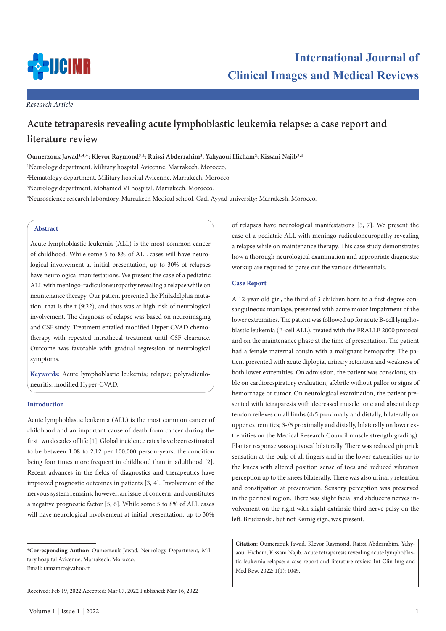

*Research Article*

# **Acute tetraparesis revealing acute lymphoblastic leukemia relapse: a case report and literature review**

**Oumerzouk Jawad1,4,\*; Klevor Raymond3,4; Raissi Abderrahim2; Yahyaoui Hicham2; Kissani Najib3,4** Neurology department. Military hospital Avicenne. Marrakech. Morocco. Hematology department. Military hospital Avicenne. Marrakech. Morocco. Neurology department. Mohamed VI hospital. Marrakech. Morocco. Neuroscience research laboratory. Marrakech Medical school, Cadi Ayyad university; Marrakesh, Morocco.

## **Abstract**

Acute lymphoblastic leukemia (ALL) is the most common cancer of childhood. While some 5 to 8% of ALL cases will have neurological involvement at initial presentation, up to 30% of relapses have neurological manifestations. We present the case of a pediatric ALL with meningo-radiculoneuropathy revealing a relapse while on maintenance therapy. Our patient presented the Philadelphia mutation, that is the t (9;22), and thus was at high risk of neurological involvement. The diagnosis of relapse was based on neuroimaging and CSF study. Treatment entailed modified Hyper CVAD chemotherapy with repeated intrathecal treatment until CSF clearance. Outcome was favorable with gradual regression of neurological symptoms.

**Keywords:** Acute lymphoblastic leukemia; relapse; polyradiculoneuritis; modified Hyper-CVAD.

### **Introduction**

Acute lymphoblastic leukemia (ALL) is the most common cancer of childhood and an important cause of death from cancer during the first two decades of life [1]. Global incidence rates have been estimated to be between 1.08 to 2.12 per 100,000 person-years, the condition being four times more frequent in childhood than in adulthood [2]. Recent advances in the fields of diagnostics and therapeutics have improved prognostic outcomes in patients [3, 4]. Involvement of the nervous system remains, however, an issue of concern, and constitutes a negative prognostic factor [5, 6]. While some 5 to 8% of ALL cases will have neurological involvement at initial presentation, up to 30%

**\*Corresponding Author:** Oumerzouk Jawad, Neurology Department, Military hospital Avicenne. Marrakech. Morocco. Email: tamamro@yahoo.fr

Received: Feb 19, 2022 Accepted: Mar 07, 2022 Published: Mar 16, 2022

of relapses have neurological manifestations [5, 7]. We present the case of a pediatric ALL with meningo-radiculoneuropathy revealing a relapse while on maintenance therapy. This case study demonstrates how a thorough neurological examination and appropriate diagnostic workup are required to parse out the various differentials.

#### **Case Report**

A 12-year-old girl, the third of 3 children born to a first degree consanguineous marriage, presented with acute motor impairment of the lower extremities. The patient was followed up for acute B-cell lymphoblastic leukemia (B-cell ALL), treated with the FRALLE 2000 protocol and on the maintenance phase at the time of presentation. The patient had a female maternal cousin with a malignant hemopathy. The patient presented with acute diplopia, urinary retention and weakness of both lower extremities. On admission, the patient was conscious, stable on cardiorespiratory evaluation, afebrile without pallor or signs of hemorrhage or tumor. On neurological examination, the patient presented with tetraparesis with decreased muscle tone and absent deep tendon reflexes on all limbs (4/5 proximally and distally, bilaterally on upper extremities; 3-/5 proximally and distally, bilaterally on lower extremities on the Medical Research Council muscle strength grading). Plantar response was equivocal bilaterally. There was reduced pinprick sensation at the pulp of all fingers and in the lower extremities up to the knees with altered position sense of toes and reduced vibration perception up to the knees bilaterally. There was also urinary retention and constipation at presentation. Sensory perception was preserved in the perineal region. There was slight facial and abducens nerves involvement on the right with slight extrinsic third nerve palsy on the left. Brudzinski, but not Kernig sign, was present.

**Citation:** Oumerzouk Jawad, Klevor Raymond, Raissi Abderrahim, Yahyaoui Hicham, Kissani Najib. Acute tetraparesis revealing acute lymphoblastic leukemia relapse: a case report and literature review. Int Clin Img and Med Rew. 2022; 1(1): 1049.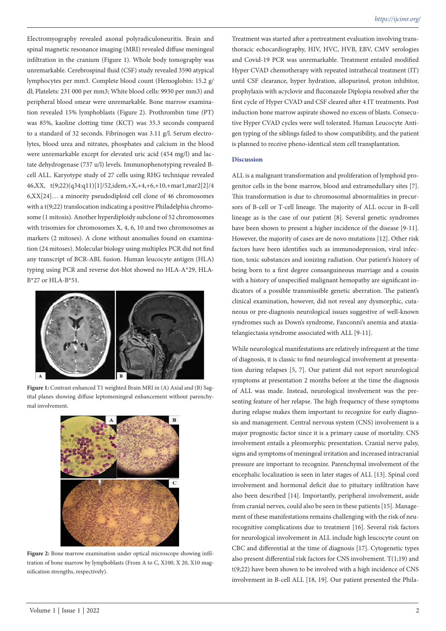Electromyography revealed axonal polyradiculoneuritis. Brain and spinal magnetic resonance imaging (MRI) revealed diffuse meningeal infiltration in the cranium (Figure 1). Whole body tomography was unremarkable. Cerebrospinal fluid (CSF) study revealed 3590 atypical lymphocytes per mm3. Complete blood count (Hemoglobin: 15.2 g/ dl; Platelets: 231 000 per mm3; White blood cells: 9930 per mm3) and peripheral blood smear were unremarkable. Bone marrow examination revealed 15% lymphoblasts (Figure 2). Prothrombin time (PT) was 85%, kaoline clotting time (KCT) was 35.3 seconds compared to a standard of 32 seconds. Fibrinogen was 3.11 g/l. Serum electrolytes, blood urea and nitrates, phosphates and calcium in the blood were unremarkable except for elevated uric acid (454 mg/l) and lactate dehydrogenase (737 u/l) levels. Immunophenotyping revealed Bcell ALL. Karyotype study of 27 cells using RHG technique revealed 46,XX, t(9;22)(q34:q11)[1]/52,idem,+X,+4,+6,+10,+mar1,mar2[2]/4 6,XX[24]… a minority pseudodiploid cell clone of 46 chromosomes with a t(9;22) translocation indicating a positive Philadelphia chromosome (1 mitosis). Another hyperdiploidy subclone of 52 chromosomes with trisomies for chromosomes X, 4, 6, 10 and two chromosomes as markers (2 mitoses). A clone without anomalies found on examination (24 mitoses). Molecular biology using multiplex PCR did not find any transcript of BCR-ABL fusion. Human leucocyte antigen (HLA) typing using PCR and reverse dot-blot showed no HLA-A\*29, HLA-B\*27 or HLA-B\*51.



**Figure 1:** Contrast enhanced T1 weighted Brain MRI in (A) Axial and (B) Sagittal planes showing diffuse leptomeningeal enhancement without parenchymal involvement.



Figure 2: Bone marrow examination under optical microscope showing infiltration of bone marrow by lymphoblasts (From A to C, X100, X 20, X10 magnification strengths, respectively).

Treatment was started after a pretreatment evaluation involving transthoracic echocardiography, HIV, HVC, HVB, EBV, CMV serologies and Covid-19 PCR was unremarkable. Treatment entailed modified Hyper CVAD chemotherapy with repeated intrathecal treatment (IT) until CSF clearance, hyper hydration, allopurinol, proton inhibitor, prophylaxis with acyclovir and fluconazole Diplopia resolved after the first cycle of Hyper CVAD and CSF cleared after 4 IT treatments. Post induction bone marrow aspirate showed no excess of blasts. Consecutive Hyper CVAD cycles were well tolerated. Human Leucocyte Antigen typing of the siblings failed to show compatibility, and the patient is planned to receive pheno-identical stem cell transplantation.

## **Discussion**

ALL is a malignant transformation and proliferation of lymphoid progenitor cells in the bone marrow, blood and extramedullary sites [7]. This transformation is due to chromosomal abnormalities in precursors of B-cell or T-cell lineage. The majority of ALL occur in B-cell lineage as is the case of our patient [8]. Several genetic syndromes have been shown to present a higher incidence of the disease [9-11]. However, the majority of cases are de novo mutations [12]. Other risk factors have been identifies such as immunodepression, viral infection, toxic substances and ionizing radiation. Our patient's history of being born to a first degree consanguineous marriage and a cousin with a history of unspecified malignant hemopathy are significant indicators of a possible transmissible genetic aberration. The patient's clinical examination, however, did not reveal any dysmorphic, cutaneous or pre-diagnosis neurological issues suggestive of well-known syndromes such as Down's syndrome, Fanconni's anemia and ataxiatelangiectasia syndrome associated with ALL [9-11].

While neurological manifestations are relatively infrequent at the time of diagnosis, it is classic to find neurological involvement at presentation during relapses [5, 7]. Our patient did not report neurological symptoms at presentation 2 months before at the time the diagnosis of ALL was made. Instead, neurological involvement was the presenting feature of her relapse. The high frequency of these symptoms during relapse makes them important to recognize for early diagnosis and management. Central nervous system (CNS) involvement is a major prognostic factor since it is a primary cause of mortality. CNS involvement entails a pleomorphic presentation. Cranial nerve palsy, signs and symptoms of meningeal irritation and increased intracranial pressure are important to recognize. Parenchymal involvement of the encephalic localization is seen in later stages of ALL [13]. Spinal cord involvement and hormonal deficit due to pituitary infiltration have also been described [14]. Importantly, peripheral involvement, aside from cranial nerves, could also be seen in these patients [15]. Management of these manifestations remains challenging with the risk of neurocognitive complications due to treatment [16]. Several risk factors for neurological involvement in ALL include high leucocyte count on CBC and differential at the time of diagnosis [17]. Cytogenetic types also present differential risk factors for CNS involvement. T(1;19) and t(9;22) have been shown to be involved with a high incidence of CNS involvement in B-cell ALL [18, 19]. Our patient presented the Phila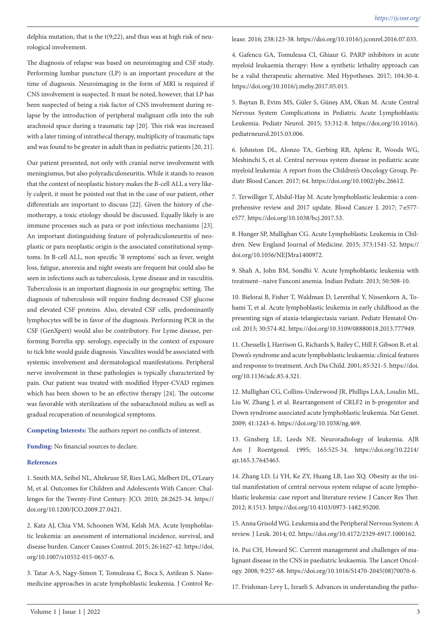delphia mutation, that is the t(9;22), and thus was at high risk of neurological involvement.

The diagnosis of relapse was based on neuroimaging and CSF study. Performing lumbar puncture (LP) is an important procedure at the time of diagnosis. Neuroimaging in the form of MRI is required if CNS involvement is suspected. It must be noted, however, that LP has been suspected of being a risk factor of CNS involvement during relapse by the introduction of peripheral malignant cells into the sub arachnoid space during a traumatic tap [20]. This risk was increased with a later timing of intrathecal therapy, multiplicity of traumatic taps and was found to be greater in adult than in pediatric patients [20, 21].

Our patient presented, not only with cranial nerve involvement with meningismus, but also polyradiculoneuritis. While it stands to reason that the context of neoplastic history makes the B-cell ALL a very likely culprit, it must be pointed out that in the case of our patient, other differentials are important to discuss [22]. Given the history of chemotherapy, a toxic etiology should be discussed. Equally likely is are immune processes such as para or post infectious mechanisms [23]. An important distinguishing feature of polyradiculoneuritis of neoplastic or para neoplastic origin is the associated constitutional symptoms. In B-cell ALL, non specific 'B symptoms' such as fever, weight loss, fatigue, anorexia and night sweats are frequent but could also be seen in infections such as tuberculosis, Lyme disease and in vasculitis. Tuberculosis is an important diagnosis in our geographic setting. The diagnosis of tuberculosis will require finding decreased CSF glucose and elevated CSF proteins. Also, elevated CSF cells, predominantly lymphocytes will be in favor of the diagnosis. Performing PCR in the CSF (GenXpert) would also be contributory. For Lyme disease, performing Borrelia spp. serology, especially in the context of exposure to tick bite would guide diagnosis. Vasculites would be associated with systemic involvement and dermatological manifestations. Peripheral nerve involvement in these pathologies is typically characterized by pain. Our patient was treated with modified Hyper-CVAD regimen which has been shown to be an effective therapy [24]. The outcome was favorable with sterilization of the subarachnoid milieu as well as gradual recuperation of neurological symptoms.

**Competing Interests:** The authors report no conflicts of interest.

**Funding:** No financial sources to declare.

## **References**

1. Smith MA, Seibel NL, Altekruse SF, Ries LAG, Melbert DL, O'Leary M, et al. Outcomes for Children and Adolescents With Cancer: Challenges for the Twenty-First Century. JCO. 2010; 28:2625-34. https:// doi.org/10.1200/JCO.2009.27.0421.

2. Katz AJ, Chia VM, Schoonen WM, Kelsh MA. Acute lymphoblastic leukemia: an assessment of international incidence, survival, and disease burden. Cancer Causes Control. 2015; 26:1627-42. https://doi. org/10.1007/s10552-015-0657-6.

3. Tatar A-S, Nagy-Simon T, Tomuleasa C, Boca S, Astilean S. Nanomedicine approaches in acute lymphoblastic leukemia. J Control Release. 2016; 238:123-38. https://doi.org/10.1016/j.jconrel.2016.07.035.

4. Gafencu GA, Tomuleasa CI, Ghiaur G. PARP inhibitors in acute myeloid leukaemia therapy: How a synthetic lethality approach can be a valid therapeutic alternative. Med Hypotheses. 2017; 104:30-4. https://doi.org/10.1016/j.mehy.2017.05.015.

5. Baytan B, Evim MS, Güler S, Güneş AM, Okan M. Acute Central Nervous System Complications in Pediatric Acute Lymphoblastic Leukemia. Pediatr Neurol. 2015; 53:312-8. https://doi.org/10.1016/j. pediatrneurol.2015.03.006.

6. Johnston DL, Alonzo TA, Gerbing RB, Aplenc R, Woods WG, Meshinchi S, et al. Central nervous system disease in pediatric acute myeloid leukemia: A report from the Children's Oncology Group. Pediatr Blood Cancer. 2017; 64. https://doi.org/10.1002/pbc.26612.

7. Terwilliger T, Abdul-Hay M. Acute lymphoblastic leukemia: a comprehensive review and 2017 update. Blood Cancer J. 2017; 7:e577 e577. https://doi.org/10.1038/bcj.2017.53.

8. Hunger SP, Mullighan CG. Acute Lymphoblastic Leukemia in Children. New England Journal of Medicine. 2015; 373:1541-52. https:// doi.org/10.1056/NEJMra1400972.

9. Shah A, John BM, Sondhi V. Acute lymphoblastic leukemia with treatment--naive Fanconi anemia. Indian Pediatr. 2013; 50:508-10.

10. Bielorai B, Fisher T, Waldman D, Lerenthal Y, Nissenkorn A, Tohami T, et al. Acute lymphoblastic leukemia in early childhood as the presenting sign of ataxia-telangiectasia variant. Pediatr Hematol Oncol. 2013; 30:574-82. https://doi.org/10.3109/08880018.2013.777949.

11. Chessells J, Harrison G, Richards S, Bailey C, Hill F, Gibson B, et al. Down's syndrome and acute lymphoblastic leukaemia: clinical features and response to treatment. Arch Dis Child. 2001; 85:321-5. https://doi. org/10.1136/adc.85.4.321.

12. Mullighan CG, Collins-Underwood JR, Phillips LAA, Loudin ML, Liu W, Zhang J, et al. Rearrangement of CRLF2 in b-progenitor and Down syndrome associated acute lymphoblastic leukemia. Nat Genet. 2009; 41:1243-6. https://doi.org/10.1038/ng.469.

13. Ginsberg LE, Leeds NE. Neuroradiology of leukemia. AJR Am J Roentgenol. 1995; 165:525-34. https://doi.org/10.2214/ ajr.165.3.7645463.

14. Zhang LD, Li YH, Ke ZY, Huang LB, Luo XQ. Obesity as the initial manifestation of central nervous system relapse of acute lymphoblastic leukemia: case report and literature review. J Cancer Res Ther. 2012; 8:1513. https://doi.org/10.4103/0973-1482.95200.

15. Anna Grisold WG. Leukemia and the Peripheral Nervous System: A review. J Leuk. 2014; 02. https://doi.org/10.4172/2329-6917.1000162.

16. Pui CH, Howard SC. Current management and challenges of malignant disease in the CNS in paediatric leukaemia. The Lancet Oncology. 2008; 9:257-68. https://doi.org/10.1016/S1470-2045(08)70070-6.

17. Frishman-Levy L, Izraeli S. Advances in understanding the patho-